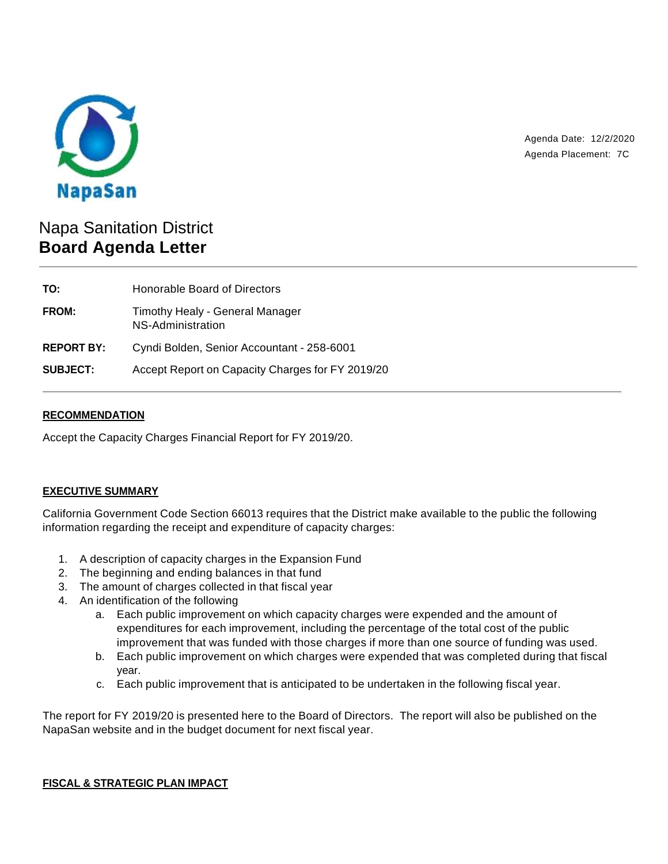

Agenda Date: 12/2/2020 Agenda Placement: 7C

# Napa Sanitation District **Board Agenda Letter**

| TO:               | Honorable Board of Directors                         |
|-------------------|------------------------------------------------------|
| <b>FROM:</b>      | Timothy Healy - General Manager<br>NS-Administration |
| <b>REPORT BY:</b> | Cyndi Bolden, Senior Accountant - 258-6001           |
| <b>SUBJECT:</b>   | Accept Report on Capacity Charges for FY 2019/20     |

# **RECOMMENDATION**

Accept the Capacity Charges Financial Report for FY 2019/20.

# **EXECUTIVE SUMMARY**

California Government Code Section 66013 requires that the District make available to the public the following information regarding the receipt and expenditure of capacity charges:

- 1. A description of capacity charges in the Expansion Fund
- 2. The beginning and ending balances in that fund
- 3. The amount of charges collected in that fiscal year
- 4. An identification of the following
	- a. Each public improvement on which capacity charges were expended and the amount of expenditures for each improvement, including the percentage of the total cost of the public improvement that was funded with those charges if more than one source of funding was used.
	- b. Each public improvement on which charges were expended that was completed during that fiscal year.
	- c. Each public improvement that is anticipated to be undertaken in the following fiscal year.

The report for FY 2019/20 is presented here to the Board of Directors. The report will also be published on the NapaSan website and in the budget document for next fiscal year.

#### **FISCAL & STRATEGIC PLAN IMPACT**